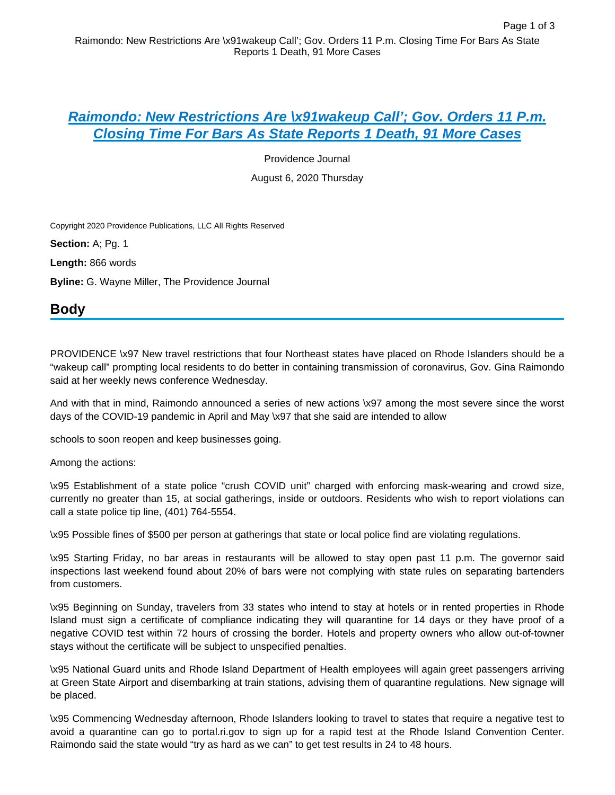## **[Raimondo: New Restrictions Are \x91wakeup Call'; Gov. Orders 11 P.m.](https://advance.lexis.com/api/document?collection=news&id=urn:contentItem:60HT-P7J1-JBKX-91X4-00000-00&context=)  [Closing Time For Bars As State Reports 1 Death, 91 More Cases](https://advance.lexis.com/api/document?collection=news&id=urn:contentItem:60HT-P7J1-JBKX-91X4-00000-00&context=)**

Providence Journal

August 6, 2020 Thursday

Copyright 2020 Providence Publications, LLC All Rights Reserved

**Section:** A; Pg. 1

**Length:** 866 words

**Byline:** G. Wayne Miller, The Providence Journal

# **Body**

PROVIDENCE \x97 New travel restrictions that four Northeast states have placed on Rhode Islanders should be a "wakeup call" prompting local residents to do better in containing transmission of coronavirus, Gov. Gina Raimondo said at her weekly news conference Wednesday.

And with that in mind, Raimondo announced a series of new actions \x97 among the most severe since the worst days of the COVID-19 pandemic in April and May \x97 that she said are intended to allow

schools to soon reopen and keep businesses going.

Among the actions:

\x95 Establishment of a state police "crush COVID unit" charged with enforcing mask-wearing and crowd size, currently no greater than 15, at social gatherings, inside or outdoors. Residents who wish to report violations can call a state police tip line, (401) 764-5554.

\x95 Possible fines of \$500 per person at gatherings that state or local police find are violating regulations.

\x95 Starting Friday, no bar areas in restaurants will be allowed to stay open past 11 p.m. The governor said inspections last weekend found about 20% of bars were not complying with state rules on separating bartenders from customers.

\x95 Beginning on Sunday, travelers from 33 states who intend to stay at hotels or in rented properties in Rhode Island must sign a certificate of compliance indicating they will quarantine for 14 days or they have proof of a negative COVID test within 72 hours of crossing the border. Hotels and property owners who allow out-of-towner stays without the certificate will be subject to unspecified penalties.

\x95 National Guard units and Rhode Island Department of Health employees will again greet passengers arriving at Green State Airport and disembarking at train stations, advising them of quarantine regulations. New signage will be placed.

\x95 Commencing Wednesday afternoon, Rhode Islanders looking to travel to states that require a negative test to avoid a quarantine can go to portal.ri.gov to sign up for a rapid test at the Rhode Island Convention Center. Raimondo said the state would "try as hard as we can" to get test results in 24 to 48 hours.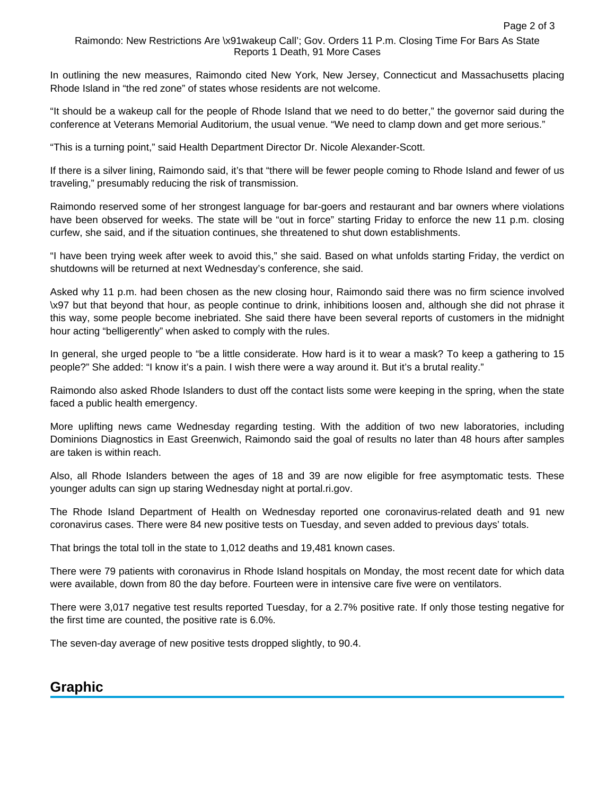#### Raimondo: New Restrictions Are \x91wakeup Call'; Gov. Orders 11 P.m. Closing Time For Bars As State Reports 1 Death, 91 More Cases

In outlining the new measures, Raimondo cited New York, New Jersey, Connecticut and Massachusetts placing Rhode Island in "the red zone" of states whose residents are not welcome.

"It should be a wakeup call for the people of Rhode Island that we need to do better," the governor said during the conference at Veterans Memorial Auditorium, the usual venue. "We need to clamp down and get more serious."

"This is a turning point," said Health Department Director Dr. Nicole Alexander-Scott.

If there is a silver lining, Raimondo said, it's that "there will be fewer people coming to Rhode Island and fewer of us traveling," presumably reducing the risk of transmission.

Raimondo reserved some of her strongest language for bar-goers and restaurant and bar owners where violations have been observed for weeks. The state will be "out in force" starting Friday to enforce the new 11 p.m. closing curfew, she said, and if the situation continues, she threatened to shut down establishments.

"I have been trying week after week to avoid this," she said. Based on what unfolds starting Friday, the verdict on shutdowns will be returned at next Wednesday's conference, she said.

Asked why 11 p.m. had been chosen as the new closing hour, Raimondo said there was no firm science involved \x97 but that beyond that hour, as people continue to drink, inhibitions loosen and, although she did not phrase it this way, some people become inebriated. She said there have been several reports of customers in the midnight hour acting "belligerently" when asked to comply with the rules.

In general, she urged people to "be a little considerate. How hard is it to wear a mask? To keep a gathering to 15 people?" She added: "I know it's a pain. I wish there were a way around it. But it's a brutal reality."

Raimondo also asked Rhode Islanders to dust off the contact lists some were keeping in the spring, when the state faced a public health emergency.

More uplifting news came Wednesday regarding testing. With the addition of two new laboratories, including Dominions Diagnostics in East Greenwich, Raimondo said the goal of results no later than 48 hours after samples are taken is within reach.

Also, all Rhode Islanders between the ages of 18 and 39 are now eligible for free asymptomatic tests. These younger adults can sign up staring Wednesday night at portal.ri.gov.

The Rhode Island Department of Health on Wednesday reported one coronavirus-related death and 91 new coronavirus cases. There were 84 new positive tests on Tuesday, and seven added to previous days' totals.

That brings the total toll in the state to 1,012 deaths and 19,481 known cases.

There were 79 patients with coronavirus in Rhode Island hospitals on Monday, the most recent date for which data were available, down from 80 the day before. Fourteen were in intensive care five were on ventilators.

There were 3,017 negative test results reported Tuesday, for a 2.7% positive rate. If only those testing negative for the first time are counted, the positive rate is 6.0%.

The seven-day average of new positive tests dropped slightly, to 90.4.

### **Graphic**